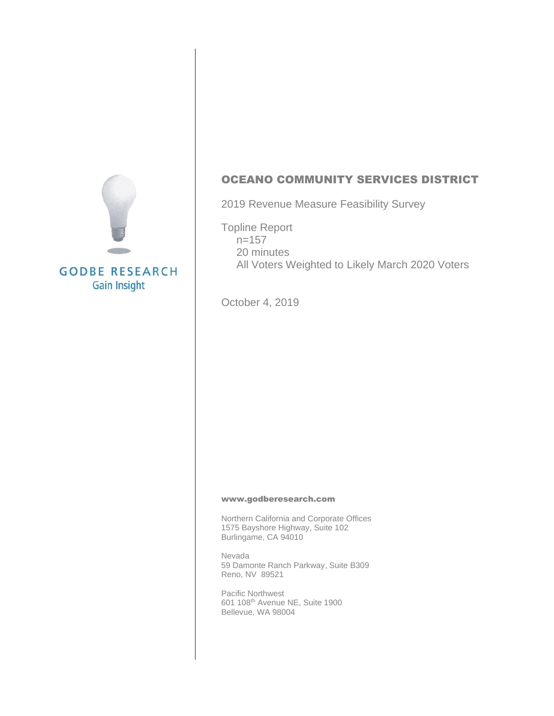

OCEANO COMMUNITY SERVICES DISTRICT

2019 Revenue Measure Feasibility Survey

Topline Report  $n=157$  20 minutes All Voters Weighted to Likely March 2020 Voters

October 4, 2019

#### [www.godberesearch.com](http://www.godberesearch.com/)

Northern California and Corporate Offices 1575 Bayshore Highway, Suite 102 Burlingame, CA 94010

Nevada 59 Damonte Ranch Parkway, Suite B309 Reno, NV 89521

Pacific Northwest 601 108th Avenue NE, Suite 1900 Bellevue, WA 98004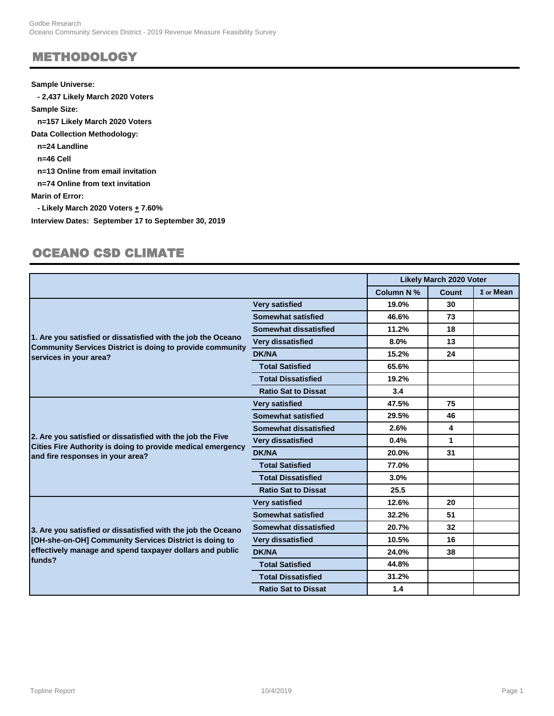#### METHODOLOGY

#### **Sample Universe:**

 **- 2,437 Likely March 2020 Voters Sample Size: n=157 Likely March 2020 Voters Data Collection Methodology: n=24 Landline n=46 Cell n=13 Online from email invitation n=74 Online from text invitation Marin of Error: - Likely March 2020 Voters + 7.60% Interview Dates: September 17 to September 30, 2019**

#### OCEANO CSD CLIMATE

|                                                                                                                                                            |                            |            | <b>Likely March 2020 Voter</b> |                  |
|------------------------------------------------------------------------------------------------------------------------------------------------------------|----------------------------|------------|--------------------------------|------------------|
|                                                                                                                                                            |                            | Column N % | Count                          | $\Sigma$ or Mean |
|                                                                                                                                                            | <b>Very satisfied</b>      | 19.0%      | 30                             |                  |
| 1. Are you satisfied or dissatisfied with the job the Oceano<br><b>Community Services District is doing to provide community</b><br>services in your area? | <b>Somewhat satisfied</b>  | 46.6%      | 73                             |                  |
|                                                                                                                                                            | Somewhat dissatisfied      | 11.2%      | 18                             |                  |
|                                                                                                                                                            | <b>Very dissatisfied</b>   | 8.0%       | 13                             |                  |
|                                                                                                                                                            | <b>DK/NA</b>               | 15.2%      | 24                             |                  |
|                                                                                                                                                            | <b>Total Satisfied</b>     | 65.6%      |                                |                  |
|                                                                                                                                                            | <b>Total Dissatisfied</b>  | 19.2%      |                                |                  |
|                                                                                                                                                            | <b>Ratio Sat to Dissat</b> | 3.4        |                                |                  |
|                                                                                                                                                            | <b>Very satisfied</b>      | 47.5%      | 75                             |                  |
|                                                                                                                                                            | <b>Somewhat satisfied</b>  | 29.5%      | 46                             |                  |
|                                                                                                                                                            | Somewhat dissatisfied      | 2.6%       | 4                              |                  |
| 2. Are you satisfied or dissatisfied with the job the Five                                                                                                 | <b>Very dissatisfied</b>   | 0.4%       | 1                              |                  |
| Cities Fire Authority is doing to provide medical emergency<br>and fire responses in your area?                                                            | <b>DK/NA</b>               | 20.0%      | 31                             |                  |
|                                                                                                                                                            | <b>Total Satisfied</b>     | 77.0%      |                                |                  |
|                                                                                                                                                            | <b>Total Dissatisfied</b>  | 3.0%       |                                |                  |
|                                                                                                                                                            | <b>Ratio Sat to Dissat</b> | 25.5       |                                |                  |
|                                                                                                                                                            | <b>Very satisfied</b>      | 12.6%      | 20                             |                  |
|                                                                                                                                                            | Somewhat satisfied         | 32.2%      | 51                             |                  |
| 3. Are you satisfied or dissatisfied with the job the Oceano                                                                                               | Somewhat dissatisfied      | 20.7%      | 32                             |                  |
| [OH-she-on-OH] Community Services District is doing to                                                                                                     | <b>Very dissatisfied</b>   | 10.5%      | 16                             |                  |
| effectively manage and spend taxpayer dollars and public                                                                                                   | <b>DK/NA</b>               | 24.0%      | 38                             |                  |
| funds?                                                                                                                                                     | <b>Total Satisfied</b>     | 44.8%      |                                |                  |
|                                                                                                                                                            | <b>Total Dissatisfied</b>  | 31.2%      |                                |                  |
|                                                                                                                                                            | <b>Ratio Sat to Dissat</b> | 1.4        |                                |                  |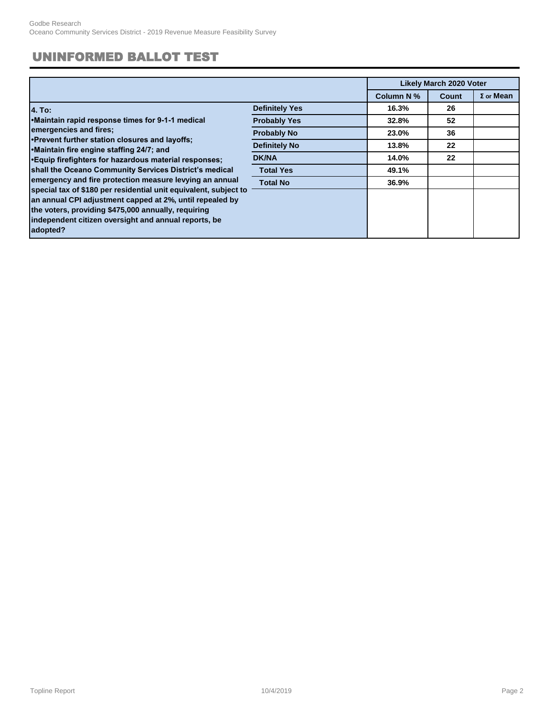### UNINFORMED BALLOT TEST

|                                                                                                                                                                                                                                                                                                                    |                       |            | <b>Likely March 2020 Voter</b> |                  |  |
|--------------------------------------------------------------------------------------------------------------------------------------------------------------------------------------------------------------------------------------------------------------------------------------------------------------------|-----------------------|------------|--------------------------------|------------------|--|
|                                                                                                                                                                                                                                                                                                                    |                       | Column N % | Count                          | $\Sigma$ or Mean |  |
| 4. To:                                                                                                                                                                                                                                                                                                             | <b>Definitely Yes</b> | 16.3%      | 26                             |                  |  |
| Maintain rapid response times for 9-1-1 medical<br>emergencies and fires;<br>. Prevent further station closures and layoffs:<br>Maintain fire engine staffing 24/7; and                                                                                                                                            | <b>Probably Yes</b>   | 32.8%      | 52                             |                  |  |
|                                                                                                                                                                                                                                                                                                                    | <b>Probably No</b>    | 23.0%      | 36                             |                  |  |
|                                                                                                                                                                                                                                                                                                                    | <b>Definitely No</b>  | 13.8%      | 22                             |                  |  |
| • Equip firefighters for hazardous material responses;                                                                                                                                                                                                                                                             | <b>DK/NA</b>          | 14.0%      | 22                             |                  |  |
| shall the Oceano Community Services District's medical                                                                                                                                                                                                                                                             | <b>Total Yes</b>      | 49.1%      |                                |                  |  |
| emergency and fire protection measure levying an annual<br>special tax of \$180 per residential unit equivalent, subject to<br>an annual CPI adjustment capped at 2%, until repealed by<br>the voters, providing \$475,000 annually, requiring<br>independent citizen oversight and annual reports, be<br>adopted? | <b>Total No</b>       | 36.9%      |                                |                  |  |
|                                                                                                                                                                                                                                                                                                                    |                       |            |                                |                  |  |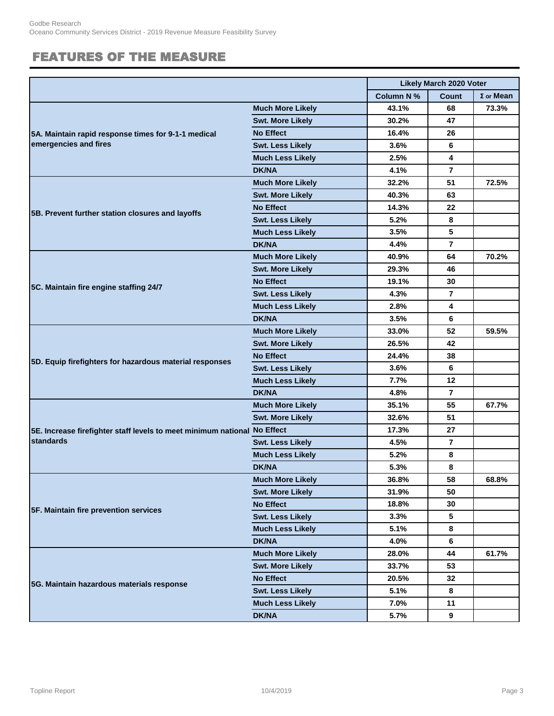### FEATURES OF THE MEASURE

|                                                                          |                         | <b>Likely March 2020 Voter</b> |                 |                  |
|--------------------------------------------------------------------------|-------------------------|--------------------------------|-----------------|------------------|
|                                                                          |                         | <b>Column N %</b>              | <b>Count</b>    | $\Sigma$ or Mean |
|                                                                          | <b>Much More Likely</b> | 43.1%                          | 68              | 73.3%            |
|                                                                          | <b>Swt. More Likely</b> | 30.2%                          | 47              |                  |
| 5A. Maintain rapid response times for 9-1-1 medical                      | <b>No Effect</b>        | 16.4%                          | 26              |                  |
| emergencies and fires                                                    | <b>Swt. Less Likely</b> | 3.6%                           | 6               |                  |
|                                                                          | <b>Much Less Likely</b> | 2.5%                           | 4               |                  |
|                                                                          | <b>DK/NA</b>            | 4.1%                           | $\overline{7}$  |                  |
|                                                                          | <b>Much More Likely</b> | 32.2%                          | 51              | 72.5%            |
|                                                                          | <b>Swt. More Likely</b> | 40.3%                          | 63              |                  |
|                                                                          | <b>No Effect</b>        | 14.3%                          | 22              |                  |
| 5B. Prevent further station closures and layoffs                         | <b>Swt. Less Likely</b> | 5.2%                           | 8               |                  |
|                                                                          | <b>Much Less Likely</b> | 3.5%                           | 5               |                  |
|                                                                          | <b>DK/NA</b>            | 4.4%                           | $\overline{7}$  |                  |
|                                                                          | <b>Much More Likely</b> | 40.9%                          | 64              | 70.2%            |
|                                                                          | <b>Swt. More Likely</b> | 29.3%                          | 46              |                  |
|                                                                          | <b>No Effect</b>        | 19.1%                          | 30              |                  |
| 5C. Maintain fire engine staffing 24/7                                   | <b>Swt. Less Likely</b> | 4.3%                           | $\overline{7}$  |                  |
|                                                                          | <b>Much Less Likely</b> | 2.8%                           | 4               |                  |
|                                                                          | <b>DK/NA</b>            | 3.5%                           | 6               |                  |
|                                                                          | <b>Much More Likely</b> | 33.0%                          | 52              | 59.5%            |
|                                                                          | <b>Swt. More Likely</b> | 26.5%                          | 42              |                  |
| 5D. Equip firefighters for hazardous material responses                  | <b>No Effect</b>        | 24.4%                          | 38              |                  |
|                                                                          | <b>Swt. Less Likely</b> | 3.6%                           | 6               |                  |
|                                                                          | <b>Much Less Likely</b> | 7.7%                           | 12              |                  |
|                                                                          | <b>DK/NA</b>            | 4.8%                           | $\overline{7}$  |                  |
|                                                                          | <b>Much More Likely</b> | 35.1%                          | 55              | 67.7%            |
|                                                                          | <b>Swt. More Likely</b> | 32.6%                          | 51              |                  |
| 5E. Increase firefighter staff levels to meet minimum national No Effect |                         | 17.3%                          | 27              |                  |
| <b>standards</b>                                                         | <b>Swt. Less Likely</b> | 4.5%                           | $\overline{7}$  |                  |
|                                                                          | <b>Much Less Likely</b> | 5.2%                           | 8               |                  |
|                                                                          | <b>DK/NA</b>            | 5.3%                           | 8               |                  |
|                                                                          | <b>Much More Likely</b> | 36.8%                          | 58              | 68.8%            |
|                                                                          | <b>Swt. More Likely</b> | 31.9%                          | 50              |                  |
| 5F. Maintain fire prevention services                                    | <b>No Effect</b>        | 18.8%                          | 30              |                  |
|                                                                          | <b>Swt. Less Likely</b> | 3.3%                           | 5               |                  |
|                                                                          | <b>Much Less Likely</b> | 5.1%                           | 8               |                  |
|                                                                          | <b>DK/NA</b>            | 4.0%                           | 6               |                  |
|                                                                          | <b>Much More Likely</b> | 28.0%                          | 44              | 61.7%            |
|                                                                          | <b>Swt. More Likely</b> | 33.7%                          | 53              |                  |
| 5G. Maintain hazardous materials response                                | <b>No Effect</b>        | 20.5%                          | 32 <sub>2</sub> |                  |
|                                                                          | <b>Swt. Less Likely</b> | 5.1%                           | 8               |                  |
|                                                                          | <b>Much Less Likely</b> | 7.0%                           | 11              |                  |
|                                                                          | <b>DK/NA</b>            | 5.7%                           | 9               |                  |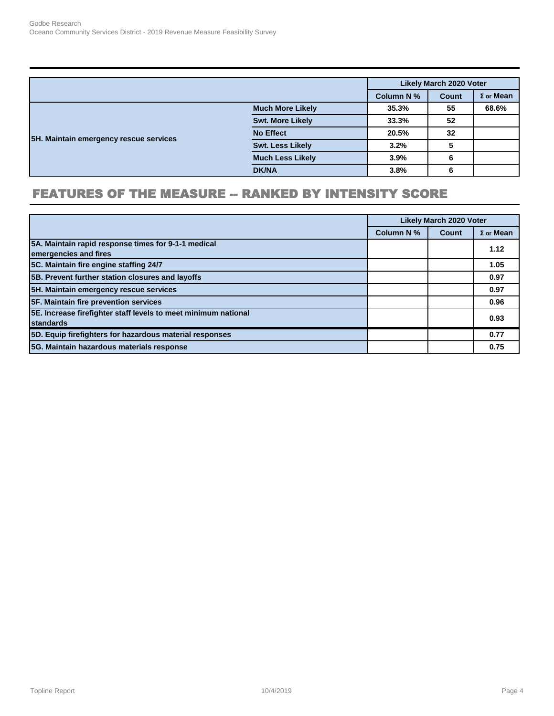|                                        |                         |                   | Likely March 2020 Voter   |       |
|----------------------------------------|-------------------------|-------------------|---------------------------|-------|
|                                        |                         | <b>Column N %</b> | $\Sigma$ or Mean<br>Count |       |
|                                        | <b>Much More Likely</b> | 35.3%             | 55                        | 68.6% |
|                                        | <b>Swt. More Likely</b> | 33.3%             | 52                        |       |
|                                        | <b>No Effect</b>        | 20.5%             | 32                        |       |
| 5H. Maintain emergency rescue services | <b>Swt. Less Likely</b> | 3.2%              | 5                         |       |
|                                        | <b>Much Less Likely</b> | 3.9%              | 6                         |       |
|                                        | <b>DK/NA</b>            | 3.8%              | 6                         |       |

### FEATURES OF THE MEASURE -- RANKED BY INTENSITY SCORE

|                                                                                    | <b>Likely March 2020 Voter</b> |       |                  |
|------------------------------------------------------------------------------------|--------------------------------|-------|------------------|
|                                                                                    | Column N %                     | Count | $\Sigma$ or Mean |
| 5A. Maintain rapid response times for 9-1-1 medical<br>emergencies and fires       |                                |       | 1.12             |
| 5C. Maintain fire engine staffing 24/7                                             |                                |       | 1.05             |
| 5B. Prevent further station closures and layoffs                                   |                                |       | 0.97             |
| 5H. Maintain emergency rescue services                                             |                                |       | 0.97             |
| 5F. Maintain fire prevention services                                              |                                |       | 0.96             |
| 5E. Increase firefighter staff levels to meet minimum national<br><b>standards</b> |                                |       | 0.93             |
| 5D. Equip firefighters for hazardous material responses                            |                                |       | 0.77             |
| 5G. Maintain hazardous materials response                                          |                                |       | 0.75             |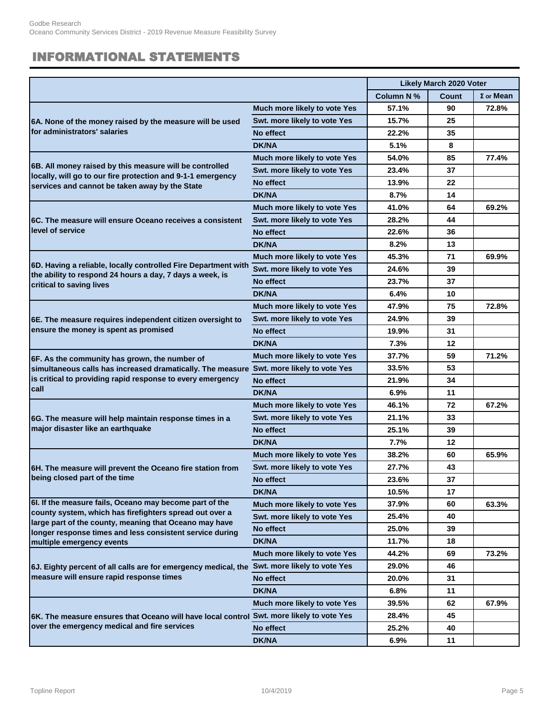### INFORMATIONAL STATEMENTS

|                                                                                                                            |                              | <b>Likely March 2020 Voter</b> |       |                  |
|----------------------------------------------------------------------------------------------------------------------------|------------------------------|--------------------------------|-------|------------------|
|                                                                                                                            |                              | Column N %                     | Count | $\Sigma$ or Mean |
|                                                                                                                            | Much more likely to vote Yes | 57.1%                          | 90    | 72.8%            |
| 6A. None of the money raised by the measure will be used                                                                   | Swt. more likely to vote Yes | 15.7%                          | 25    |                  |
| for administrators' salaries                                                                                               | No effect                    | 22.2%                          | 35    |                  |
|                                                                                                                            | <b>DK/NA</b>                 | 5.1%                           | 8     |                  |
|                                                                                                                            | Much more likely to vote Yes | 54.0%                          | 85    | 77.4%            |
| 6B. All money raised by this measure will be controlled                                                                    | Swt. more likely to vote Yes | 23.4%                          | 37    |                  |
| locally, will go to our fire protection and 9-1-1 emergency<br>services and cannot be taken away by the State              | No effect                    | 13.9%                          | 22    |                  |
|                                                                                                                            | <b>DK/NA</b>                 | 8.7%                           | 14    |                  |
|                                                                                                                            | Much more likely to vote Yes | 41.0%                          | 64    | 69.2%            |
| 6C. The measure will ensure Oceano receives a consistent                                                                   | Swt. more likely to vote Yes | 28.2%                          | 44    |                  |
| level of service                                                                                                           | No effect                    | 22.6%                          | 36    |                  |
|                                                                                                                            | <b>DK/NA</b>                 | 8.2%                           | 13    |                  |
|                                                                                                                            | Much more likely to vote Yes | 45.3%                          | 71    | 69.9%            |
| 6D. Having a reliable, locally controlled Fire Department with<br>the ability to respond 24 hours a day, 7 days a week, is | Swt. more likely to vote Yes | 24.6%                          | 39    |                  |
| critical to saving lives                                                                                                   | No effect                    | 23.7%                          | 37    |                  |
|                                                                                                                            | <b>DK/NA</b>                 | 6.4%                           | 10    |                  |
|                                                                                                                            | Much more likely to vote Yes | 47.9%                          | 75    | 72.8%            |
| 6E. The measure requires independent citizen oversight to<br>ensure the money is spent as promised                         | Swt. more likely to vote Yes | 24.9%                          | 39    |                  |
|                                                                                                                            | No effect                    | 19.9%                          | 31    |                  |
|                                                                                                                            | <b>DK/NA</b>                 | 7.3%                           | 12    |                  |
| 6F. As the community has grown, the number of                                                                              | Much more likely to vote Yes | 37.7%                          | 59    | 71.2%            |
| simultaneous calls has increased dramatically. The measure Swt. more likely to vote Yes                                    |                              | 33.5%                          | 53    |                  |
| is critical to providing rapid response to every emergency                                                                 | No effect                    | 21.9%                          | 34    |                  |
| call                                                                                                                       | <b>DK/NA</b>                 | 6.9%                           | 11    |                  |
|                                                                                                                            | Much more likely to vote Yes | 46.1%                          | 72    | 67.2%            |
| 6G. The measure will help maintain response times in a                                                                     | Swt. more likely to vote Yes | 21.1%                          | 33    |                  |
| major disaster like an earthquake                                                                                          | No effect                    | 25.1%                          | 39    |                  |
|                                                                                                                            | <b>DK/NA</b>                 | 7.7%                           | 12    |                  |
|                                                                                                                            | Much more likely to vote Yes | 38.2%                          | 60    | 65.9%            |
| 6H. The measure will prevent the Oceano fire station from                                                                  | Swt. more likely to vote Yes | 27.7%                          | 43    |                  |
| being closed part of the time                                                                                              | No effect                    | 23.6%                          | 37    |                  |
|                                                                                                                            | <b>DK/NA</b>                 | 10.5%                          | 17    |                  |
| 6l. If the measure fails, Oceano may become part of the                                                                    | Much more likely to vote Yes | 37.9%                          | 60    | 63.3%            |
| county system, which has firefighters spread out over a<br>large part of the county, meaning that Oceano may have          | Swt. more likely to vote Yes | 25.4%                          | 40    |                  |
| longer response times and less consistent service during                                                                   | No effect                    | 25.0%                          | 39    |                  |
| multiple emergency events                                                                                                  | <b>DK/NA</b>                 | 11.7%                          | 18    |                  |
|                                                                                                                            | Much more likely to vote Yes | 44.2%                          | 69    | 73.2%            |
| 6J. Eighty percent of all calls are for emergency medical, the Swt. more likely to vote Yes                                |                              | 29.0%                          | 46    |                  |
| measure will ensure rapid response times                                                                                   | No effect                    | 20.0%                          | 31    |                  |
|                                                                                                                            | <b>DK/NA</b>                 | 6.8%                           | 11    |                  |
|                                                                                                                            | Much more likely to vote Yes | 39.5%                          | 62    | 67.9%            |
| 6K. The measure ensures that Oceano will have local control Swt. more likely to vote Yes                                   |                              | 28.4%                          | 45    |                  |
| over the emergency medical and fire services                                                                               | No effect                    | 25.2%                          | 40    |                  |
|                                                                                                                            | <b>DK/NA</b>                 | 6.9%                           | 11    |                  |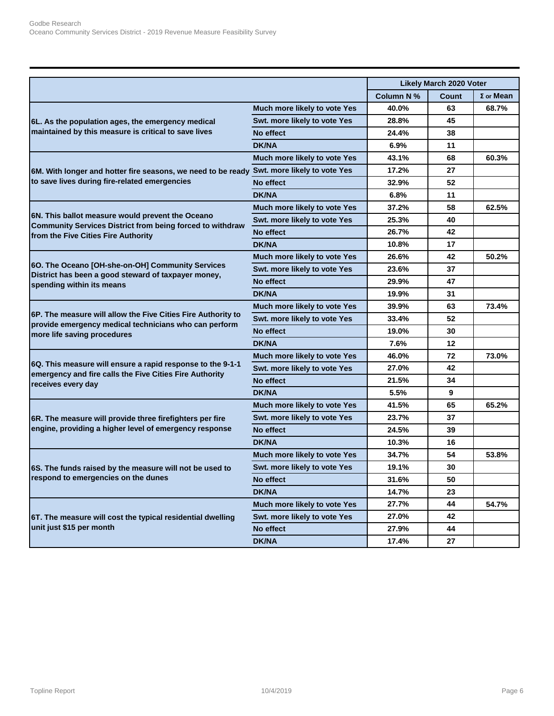|                                                                                                                                                      |                              |            | <b>Likely March 2020 Voter</b> |                  |
|------------------------------------------------------------------------------------------------------------------------------------------------------|------------------------------|------------|--------------------------------|------------------|
|                                                                                                                                                      |                              | Column N % | Count                          | $\Sigma$ or Mean |
|                                                                                                                                                      | Much more likely to vote Yes | 40.0%      | 63                             | 68.7%            |
| 6L. As the population ages, the emergency medical                                                                                                    | Swt. more likely to vote Yes | 28.8%      | 45                             |                  |
| maintained by this measure is critical to save lives                                                                                                 | No effect                    | 24.4%      | 38                             |                  |
|                                                                                                                                                      | <b>DK/NA</b>                 | 6.9%       | 11                             |                  |
|                                                                                                                                                      | Much more likely to vote Yes | 43.1%      | 68                             | 60.3%            |
| 6M. With longer and hotter fire seasons, we need to be ready                                                                                         | Swt. more likely to vote Yes | 17.2%      | 27                             |                  |
| to save lives during fire-related emergencies                                                                                                        | No effect                    | 32.9%      | 52                             |                  |
|                                                                                                                                                      | <b>DK/NA</b>                 | 6.8%       | 11                             |                  |
|                                                                                                                                                      | Much more likely to vote Yes | 37.2%      | 58                             | 62.5%            |
| 6N. This ballot measure would prevent the Oceano<br>Community Services District from being forced to withdraw<br>from the Five Cities Fire Authority | Swt. more likely to vote Yes | 25.3%      | 40                             |                  |
|                                                                                                                                                      | No effect                    | 26.7%      | 42                             |                  |
|                                                                                                                                                      | <b>DK/NA</b>                 | 10.8%      | 17                             |                  |
|                                                                                                                                                      | Much more likely to vote Yes | 26.6%      | 42                             | 50.2%            |
| 60. The Oceano [OH-she-on-OH] Community Services<br>District has been a good steward of taxpayer money,<br>spending within its means                 | Swt. more likely to vote Yes | 23.6%      | 37                             |                  |
|                                                                                                                                                      | No effect                    | 29.9%      | 47                             |                  |
|                                                                                                                                                      | <b>DK/NA</b>                 | 19.9%      | 31                             |                  |
|                                                                                                                                                      | Much more likely to vote Yes | 39.9%      | 63                             | 73.4%            |
| 6P. The measure will allow the Five Cities Fire Authority to                                                                                         | Swt. more likely to vote Yes | 33.4%      | 52                             |                  |
| provide emergency medical technicians who can perform<br>more life saving procedures                                                                 | No effect                    | 19.0%      | 30                             |                  |
|                                                                                                                                                      | <b>DK/NA</b>                 | 7.6%       | 12                             |                  |
|                                                                                                                                                      | Much more likely to vote Yes | 46.0%      | 72                             | 73.0%            |
| 6Q. This measure will ensure a rapid response to the 9-1-1                                                                                           | Swt. more likely to vote Yes | 27.0%      | 42                             |                  |
| emergency and fire calls the Five Cities Fire Authority<br>receives every day                                                                        | No effect                    | 21.5%      | 34                             |                  |
|                                                                                                                                                      | <b>DK/NA</b>                 | 5.5%       | 9                              |                  |
|                                                                                                                                                      | Much more likely to vote Yes | 41.5%      | 65                             | 65.2%            |
| 6R. The measure will provide three firefighters per fire                                                                                             | Swt. more likely to vote Yes | 23.7%      | 37                             |                  |
| engine, providing a higher level of emergency response                                                                                               | No effect                    | 24.5%      | 39                             |                  |
|                                                                                                                                                      | <b>DK/NA</b>                 | 10.3%      | 16                             |                  |
|                                                                                                                                                      | Much more likely to vote Yes | 34.7%      | 54                             | 53.8%            |
| 6S. The funds raised by the measure will not be used to                                                                                              | Swt. more likely to vote Yes | 19.1%      | 30                             |                  |
| respond to emergencies on the dunes                                                                                                                  | No effect                    | 31.6%      | 50                             |                  |
|                                                                                                                                                      | <b>DK/NA</b>                 | 14.7%      | 23                             |                  |
|                                                                                                                                                      | Much more likely to vote Yes | 27.7%      | 44                             | 54.7%            |
| 6T. The measure will cost the typical residential dwelling                                                                                           | Swt. more likely to vote Yes | 27.0%      | 42                             |                  |
| unit just \$15 per month                                                                                                                             | No effect                    | 27.9%      | 44                             |                  |
|                                                                                                                                                      | <b>DK/NA</b>                 | 17.4%      | 27                             |                  |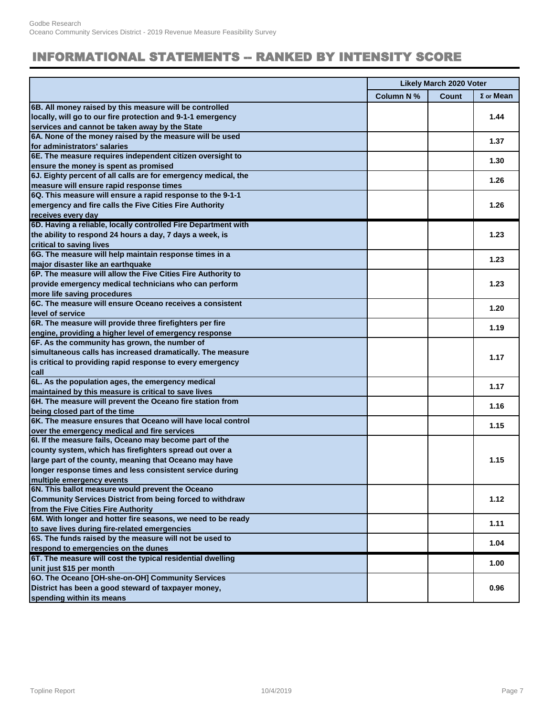#### **INFORMATIONAL STATEMENTS -- RANKED BY INTENSITY SCORE**

|                                                                  | <b>Likely March 2020 Voter</b> |       |                  |
|------------------------------------------------------------------|--------------------------------|-------|------------------|
|                                                                  | Column N %                     | Count | $\Sigma$ or Mean |
| 6B. All money raised by this measure will be controlled          |                                |       |                  |
| locally, will go to our fire protection and 9-1-1 emergency      |                                |       | 1.44             |
| services and cannot be taken away by the State                   |                                |       |                  |
| 6A. None of the money raised by the measure will be used         |                                |       | 1.37             |
| for administrators' salaries                                     |                                |       |                  |
| 6E. The measure requires independent citizen oversight to        |                                |       | 1.30             |
| ensure the money is spent as promised                            |                                |       |                  |
| 6J. Eighty percent of all calls are for emergency medical, the   |                                |       | 1.26             |
| measure will ensure rapid response times                         |                                |       |                  |
| 6Q. This measure will ensure a rapid response to the 9-1-1       |                                |       |                  |
| emergency and fire calls the Five Cities Fire Authority          |                                |       | 1.26             |
| receives every day                                               |                                |       |                  |
| 6D. Having a reliable, locally controlled Fire Department with   |                                |       |                  |
| the ability to respond 24 hours a day, 7 days a week, is         |                                |       | 1.23             |
| critical to saving lives                                         |                                |       |                  |
| 6G. The measure will help maintain response times in a           |                                |       | 1.23             |
| major disaster like an earthquake                                |                                |       |                  |
| 6P. The measure will allow the Five Cities Fire Authority to     |                                |       |                  |
| provide emergency medical technicians who can perform            |                                |       | 1.23             |
| more life saving procedures                                      |                                |       |                  |
| 6C. The measure will ensure Oceano receives a consistent         |                                |       |                  |
| level of service                                                 |                                |       | 1.20             |
| 6R. The measure will provide three firefighters per fire         |                                |       |                  |
| engine, providing a higher level of emergency response           |                                |       | 1.19             |
| 6F. As the community has grown, the number of                    |                                |       |                  |
| simultaneous calls has increased dramatically. The measure       |                                |       |                  |
| is critical to providing rapid response to every emergency       |                                |       | 1.17             |
| call                                                             |                                |       |                  |
| 6L. As the population ages, the emergency medical                |                                |       |                  |
| maintained by this measure is critical to save lives             |                                |       | 1.17             |
| 6H. The measure will prevent the Oceano fire station from        |                                |       |                  |
| being closed part of the time                                    |                                |       | 1.16             |
| 6K. The measure ensures that Oceano will have local control      |                                |       |                  |
| over the emergency medical and fire services                     |                                |       | 1.15             |
| 6I. If the measure fails, Oceano may become part of the          |                                |       |                  |
| county system, which has firefighters spread out over a          |                                |       |                  |
| large part of the county, meaning that Oceano may have           |                                |       | 1.15             |
| longer response times and less consistent service during         |                                |       |                  |
| multiple emergency events                                        |                                |       |                  |
| 6N. This ballot measure would prevent the Oceano                 |                                |       |                  |
| <b>Community Services District from being forced to withdraw</b> |                                |       | 1.12             |
| from the Five Cities Fire Authority                              |                                |       |                  |
| 6M. With longer and hotter fire seasons, we need to be ready     |                                |       |                  |
| to save lives during fire-related emergencies                    |                                |       | 1.11             |
| 6S. The funds raised by the measure will not be used to          |                                |       |                  |
| respond to emergencies on the dunes                              |                                |       | 1.04             |
| 6T. The measure will cost the typical residential dwelling       |                                |       |                  |
| unit just \$15 per month                                         |                                |       | 1.00             |
| 60. The Oceano [OH-she-on-OH] Community Services                 |                                |       |                  |
| District has been a good steward of taxpayer money,              |                                |       | 0.96             |
| spending within its means                                        |                                |       |                  |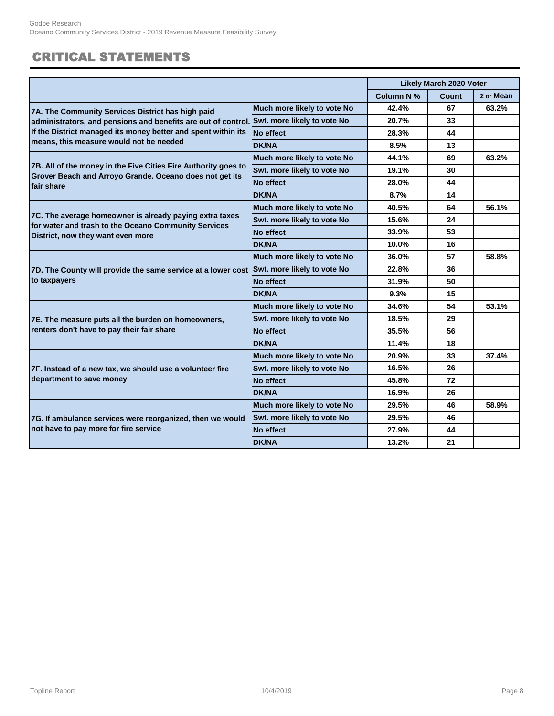### CRITICAL STATEMENTS

|                                                                                                                           |                             |            | <b>Likely March 2020 Voter</b> |                  |
|---------------------------------------------------------------------------------------------------------------------------|-----------------------------|------------|--------------------------------|------------------|
|                                                                                                                           |                             | Column N % | Count                          | $\Sigma$ or Mean |
| 7A. The Community Services District has high paid                                                                         | Much more likely to vote No | 42.4%      | 67                             | 63.2%            |
| administrators, and pensions and benefits are out of control. Swt. more likely to vote No                                 |                             | 20.7%      | 33                             |                  |
| If the District managed its money better and spent within its                                                             | No effect                   | 28.3%      | 44                             |                  |
| means, this measure would not be needed                                                                                   | DK/NA                       | 8.5%       | 13                             |                  |
|                                                                                                                           | Much more likely to vote No | 44.1%      | 69                             | 63.2%            |
| 7B. All of the money in the Five Cities Fire Authority goes to<br>Grover Beach and Arroyo Grande. Oceano does not get its | Swt. more likely to vote No | 19.1%      | 30                             |                  |
| fair share                                                                                                                | No effect                   | 28.0%      | 44                             |                  |
|                                                                                                                           | DK/NA                       | 8.7%       | 14                             |                  |
|                                                                                                                           | Much more likely to vote No | 40.5%      | 64                             | 56.1%            |
| 7C. The average homeowner is already paying extra taxes<br>for water and trash to the Oceano Community Services           | Swt. more likely to vote No | 15.6%      | 24                             |                  |
| District, now they want even more                                                                                         | No effect                   | 33.9%      | 53                             |                  |
|                                                                                                                           | <b>DK/NA</b>                | 10.0%      | 16                             |                  |
|                                                                                                                           | Much more likely to vote No | 36.0%      | 57                             | 58.8%            |
| 7D. The County will provide the same service at a lower cost Swt. more likely to vote No                                  |                             | 22.8%      | 36                             |                  |
| to taxpayers                                                                                                              | No effect                   | 31.9%      | 50                             |                  |
|                                                                                                                           | DK/NA                       | 9.3%       | 15                             |                  |
|                                                                                                                           | Much more likely to vote No | 34.6%      | 54                             | 53.1%            |
| 7E. The measure puts all the burden on homeowners,                                                                        | Swt. more likely to vote No | 18.5%      | 29                             |                  |
| renters don't have to pay their fair share                                                                                | No effect                   | 35.5%      | 56                             |                  |
|                                                                                                                           | DK/NA                       | 11.4%      | 18                             |                  |
|                                                                                                                           | Much more likely to vote No | 20.9%      | 33                             | 37.4%            |
| 7F. Instead of a new tax, we should use a volunteer fire                                                                  | Swt. more likely to vote No | 16.5%      | 26                             |                  |
| department to save money                                                                                                  | No effect                   | 45.8%      | 72                             |                  |
|                                                                                                                           | <b>DK/NA</b>                | 16.9%      | 26                             |                  |
|                                                                                                                           | Much more likely to vote No | 29.5%      | 46                             | 58.9%            |
| 7G. If ambulance services were reorganized, then we would                                                                 | Swt. more likely to vote No | 29.5%      | 46                             |                  |
| not have to pay more for fire service                                                                                     | No effect                   | 27.9%      | 44                             |                  |
|                                                                                                                           | <b>DK/NA</b>                | 13.2%      | 21                             |                  |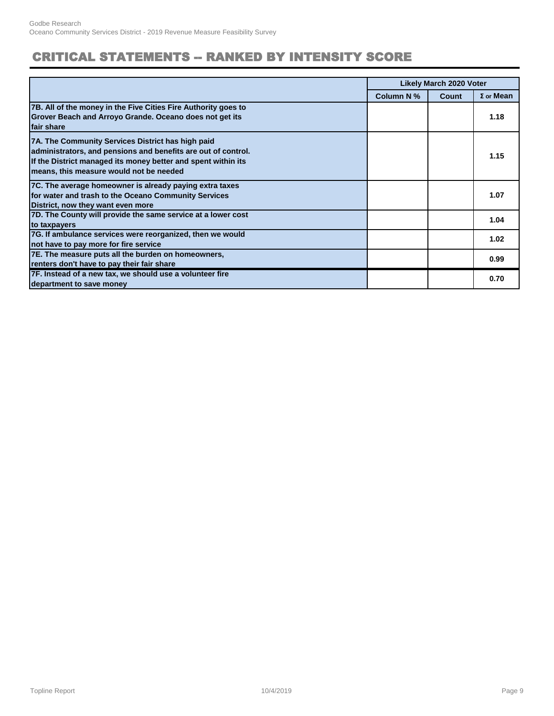### **CRITICAL STATEMENTS -- RANKED BY INTENSITY SCORE**

|                                                                                                                                                                                                                                | <b>Likely March 2020 Voter</b> |              |                  |
|--------------------------------------------------------------------------------------------------------------------------------------------------------------------------------------------------------------------------------|--------------------------------|--------------|------------------|
|                                                                                                                                                                                                                                | Column N %                     | <b>Count</b> | $\Sigma$ or Mean |
| 7B. All of the money in the Five Cities Fire Authority goes to<br>Grover Beach and Arroyo Grande. Oceano does not get its<br>fair share                                                                                        |                                |              | 1.18             |
| 7A. The Community Services District has high paid<br>administrators, and pensions and benefits are out of control.<br>If the District managed its money better and spent within its<br>means, this measure would not be needed |                                |              | 1.15             |
| 7C. The average homeowner is already paying extra taxes<br>for water and trash to the Oceano Community Services<br>District, now they want even more                                                                           |                                |              | 1.07             |
| 7D. The County will provide the same service at a lower cost<br>to taxpayers                                                                                                                                                   |                                |              | 1.04             |
| 7G. If ambulance services were reorganized, then we would<br>not have to pay more for fire service                                                                                                                             |                                |              | 1.02             |
| 7E. The measure puts all the burden on homeowners,<br>renters don't have to pay their fair share                                                                                                                               |                                |              | 0.99             |
| 7F. Instead of a new tax, we should use a volunteer fire<br>department to save money                                                                                                                                           |                                |              | 0.70             |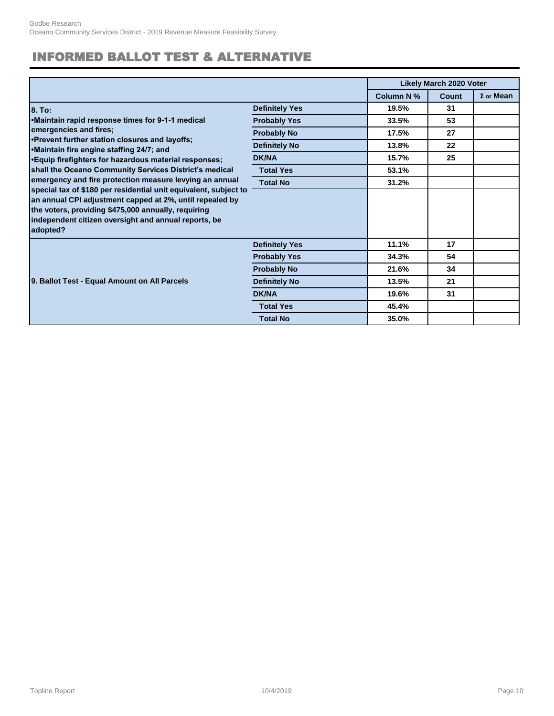### INFORMED BALLOT TEST & ALTERNATIVE

|                                                                                                                                                                                                                                                                                                                    |                       |            | <b>Likely March 2020 Voter</b> |                  |
|--------------------------------------------------------------------------------------------------------------------------------------------------------------------------------------------------------------------------------------------------------------------------------------------------------------------|-----------------------|------------|--------------------------------|------------------|
|                                                                                                                                                                                                                                                                                                                    |                       | Column N % | <b>Count</b>                   | $\Sigma$ or Mean |
| 8. To:                                                                                                                                                                                                                                                                                                             | <b>Definitely Yes</b> | 19.5%      | 31                             |                  |
| •Maintain rapid response times for 9-1-1 medical                                                                                                                                                                                                                                                                   | <b>Probably Yes</b>   | 33.5%      | 53                             |                  |
| emergencies and fires;                                                                                                                                                                                                                                                                                             | <b>Probably No</b>    | 17.5%      | 27                             |                  |
| •Prevent further station closures and layoffs;<br>•Maintain fire engine staffing 24/7; and                                                                                                                                                                                                                         | <b>Definitely No</b>  | 13.8%      | 22                             |                  |
| •Equip firefighters for hazardous material responses;                                                                                                                                                                                                                                                              | <b>DK/NA</b>          | 15.7%      | 25                             |                  |
| shall the Oceano Community Services District's medical                                                                                                                                                                                                                                                             | <b>Total Yes</b>      | 53.1%      |                                |                  |
| emergency and fire protection measure levying an annual<br>special tax of \$180 per residential unit equivalent, subject to<br>an annual CPI adjustment capped at 2%, until repealed by<br>the voters, providing \$475,000 annually, requiring<br>independent citizen oversight and annual reports, be<br>adopted? | <b>Total No</b>       | 31.2%      |                                |                  |
|                                                                                                                                                                                                                                                                                                                    |                       |            |                                |                  |
|                                                                                                                                                                                                                                                                                                                    | <b>Definitely Yes</b> | 11.1%      | 17                             |                  |
|                                                                                                                                                                                                                                                                                                                    | <b>Probably Yes</b>   | 34.3%      | 54                             |                  |
|                                                                                                                                                                                                                                                                                                                    | <b>Probably No</b>    | 21.6%      | 34                             |                  |
| 9. Ballot Test - Equal Amount on All Parcels                                                                                                                                                                                                                                                                       | <b>Definitely No</b>  | 13.5%      | 21                             |                  |
|                                                                                                                                                                                                                                                                                                                    | <b>DK/NA</b>          | 19.6%      | 31                             |                  |
|                                                                                                                                                                                                                                                                                                                    | <b>Total Yes</b>      | 45.4%      |                                |                  |
|                                                                                                                                                                                                                                                                                                                    | <b>Total No</b>       | 35.0%      |                                |                  |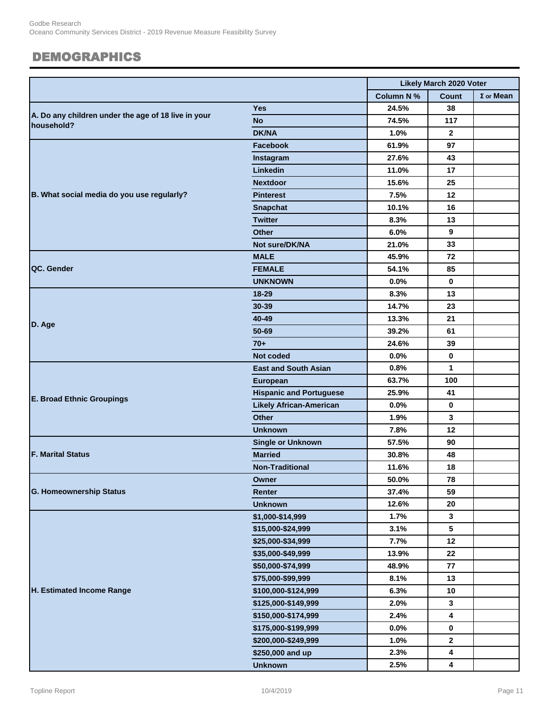#### DEMOGRAPHICS

|                                                                   |                                | <b>Likely March 2020 Voter</b> |                         |                  |
|-------------------------------------------------------------------|--------------------------------|--------------------------------|-------------------------|------------------|
|                                                                   |                                | <b>Column N%</b>               | <b>Count</b>            | $\Sigma$ or Mean |
|                                                                   | <b>Yes</b>                     | 24.5%                          | 38                      |                  |
| A. Do any children under the age of 18 live in your<br>household? | <b>No</b>                      | 74.5%                          | 117                     |                  |
|                                                                   | <b>DK/NA</b>                   | 1.0%                           | $\mathbf{2}$            |                  |
|                                                                   | <b>Facebook</b>                | 61.9%                          | 97                      |                  |
|                                                                   | Instagram                      | 27.6%                          | 43                      |                  |
|                                                                   | Linkedin                       | 11.0%                          | 17                      |                  |
|                                                                   | <b>Nextdoor</b>                | 15.6%                          | 25                      |                  |
| B. What social media do you use regularly?                        | <b>Pinterest</b>               | 7.5%                           | 12                      |                  |
|                                                                   | <b>Snapchat</b>                | 10.1%                          | 16                      |                  |
|                                                                   | <b>Twitter</b>                 | 8.3%                           | 13                      |                  |
|                                                                   | <b>Other</b>                   | 6.0%                           | 9                       |                  |
|                                                                   | Not sure/DK/NA                 | 21.0%                          | 33                      |                  |
|                                                                   | <b>MALE</b>                    | 45.9%                          | 72                      |                  |
| QC. Gender                                                        | <b>FEMALE</b>                  | 54.1%                          | 85                      |                  |
|                                                                   | <b>UNKNOWN</b>                 | 0.0%                           | $\mathbf 0$             |                  |
|                                                                   | $18 - 29$                      | 8.3%                           | 13                      |                  |
|                                                                   | 30-39                          | 14.7%                          | 23                      |                  |
| D. Age                                                            | 40-49                          | 13.3%                          | 21                      |                  |
|                                                                   | 50-69                          | 39.2%                          | 61                      |                  |
|                                                                   | $70+$                          | 24.6%                          | 39                      |                  |
|                                                                   | Not coded                      | 0.0%                           | $\mathbf 0$             |                  |
|                                                                   | <b>East and South Asian</b>    | 0.8%                           | $\mathbf{1}$            |                  |
|                                                                   | <b>European</b>                | 63.7%                          | 100                     |                  |
| <b>E. Broad Ethnic Groupings</b>                                  | <b>Hispanic and Portuguese</b> | 25.9%                          | 41                      |                  |
|                                                                   | <b>Likely African-American</b> | 0.0%                           | $\bf{0}$                |                  |
|                                                                   | <b>Other</b>                   | 1.9%                           | 3                       |                  |
|                                                                   | <b>Unknown</b>                 | 7.8%                           | 12                      |                  |
|                                                                   | <b>Single or Unknown</b>       | 57.5%                          | 90                      |                  |
| <b>F. Marital Status</b>                                          | <b>Married</b>                 | 30.8%                          | 48                      |                  |
|                                                                   | <b>Non-Traditional</b>         | 11.6%                          | 18                      |                  |
|                                                                   | Owner                          | 50.0%                          | 78                      |                  |
| <b>G. Homeownership Status</b>                                    | Renter                         | 37.4%                          | 59                      |                  |
|                                                                   | <b>Unknown</b>                 | 12.6%                          | 20                      |                  |
|                                                                   | \$1,000-\$14,999               | 1.7%                           | 3                       |                  |
|                                                                   | \$15,000-\$24,999              | 3.1%                           | 5                       |                  |
|                                                                   | \$25,000-\$34,999              | 7.7%                           | 12                      |                  |
|                                                                   | \$35,000-\$49,999              | 13.9%                          | 22                      |                  |
|                                                                   | \$50,000-\$74,999              | 48.9%                          | 77                      |                  |
|                                                                   | \$75,000-\$99,999              | 8.1%                           | 13                      |                  |
| H. Estimated Income Range                                         | \$100,000-\$124,999            | 6.3%                           | 10                      |                  |
|                                                                   | \$125,000-\$149,999            | 2.0%                           | 3                       |                  |
|                                                                   | \$150,000-\$174,999            | 2.4%                           | 4                       |                  |
|                                                                   | \$175,000-\$199,999            | $0.0\%$                        | $\mathbf 0$             |                  |
|                                                                   | \$200,000-\$249,999            | 1.0%                           | $\mathbf 2$             |                  |
|                                                                   | \$250,000 and up               | 2.3%                           | 4                       |                  |
|                                                                   | <b>Unknown</b>                 | 2.5%                           | $\overline{\mathbf{4}}$ |                  |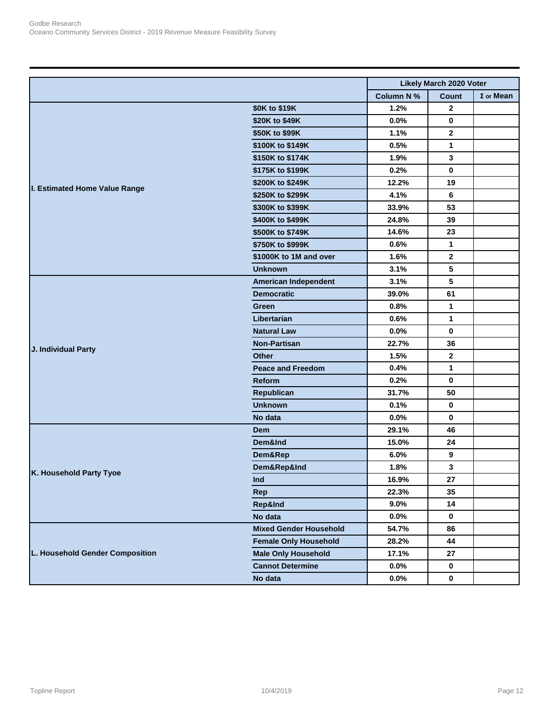|                                 |                               | <b>Likely March 2020 Voter</b> |              |                  |
|---------------------------------|-------------------------------|--------------------------------|--------------|------------------|
|                                 |                               | <b>Column N%</b>               | <b>Count</b> | $\Sigma$ or Mean |
|                                 | \$0K to \$19K                 | 1.2%                           | $\mathbf{2}$ |                  |
|                                 | \$20K to \$49K                | 0.0%                           | 0            |                  |
|                                 | \$50K to \$99K                | 1.1%                           | $\mathbf{2}$ |                  |
|                                 | \$100K to \$149K              | 0.5%                           | 1            |                  |
| I. Estimated Home Value Range   | \$150K to \$174K              | 1.9%                           | 3            |                  |
|                                 | \$175K to \$199K              | 0.2%                           | 0            |                  |
|                                 | \$200K to \$249K              | 12.2%                          | 19           |                  |
|                                 | \$250K to \$299K              | 4.1%                           | 6            |                  |
|                                 | \$300K to \$399K              | 33.9%                          | 53           |                  |
|                                 | \$400K to \$499K              | 24.8%                          | 39           |                  |
|                                 | \$500K to \$749K              | 14.6%                          | 23           |                  |
|                                 | \$750K to \$999K              | 0.6%                           | 1            |                  |
|                                 | \$1000K to 1M and over        | 1.6%                           | $\mathbf{2}$ |                  |
|                                 | <b>Unknown</b>                | 3.1%                           | 5            |                  |
|                                 | <b>American Independent</b>   | 3.1%                           | 5            |                  |
|                                 | <b>Democratic</b>             | 39.0%                          | 61           |                  |
|                                 | Green                         | 0.8%                           | 1            |                  |
|                                 | Libertarian                   | 0.6%                           | 1            |                  |
|                                 | <b>Natural Law</b>            | 0.0%                           | 0            |                  |
|                                 | <b>Non-Partisan</b>           | 22.7%                          | 36           |                  |
| J. Individual Party             | <b>Other</b>                  | 1.5%                           | $\mathbf 2$  |                  |
|                                 | <b>Peace and Freedom</b>      | 0.4%                           | 1            |                  |
|                                 | Reform                        | 0.2%                           | 0            |                  |
|                                 | Republican                    | 31.7%                          | 50           |                  |
|                                 | <b>Unknown</b>                | 0.1%                           | 0            |                  |
|                                 | No data                       | 0.0%                           | 0            |                  |
|                                 | Dem                           | 29.1%                          | 46           |                  |
|                                 | Dem&Ind                       | 15.0%                          | 24           |                  |
|                                 | Dem&Rep                       | 6.0%                           | 9            |                  |
|                                 | Dem&Rep&Ind                   | 1.8%                           | 3            |                  |
| K. Household Party Tyoe         | Ind                           | 16.9%                          | 27           |                  |
|                                 | <b>Rep</b>                    | 22.3%                          | 35           |                  |
|                                 | Rep&Ind                       | $9.0\%$                        | 14           |                  |
|                                 | No data                       | $0.0\%$                        | $\mathbf 0$  |                  |
| L. Household Gender Composition | <b>Mixed Gender Household</b> | 54.7%                          | 86           |                  |
|                                 | <b>Female Only Household</b>  | 28.2%                          | 44           |                  |
|                                 | <b>Male Only Household</b>    | 17.1%                          | 27           |                  |
|                                 | <b>Cannot Determine</b>       | $0.0\%$                        | $\mathbf 0$  |                  |
|                                 | No data                       | $0.0\%$                        | $\mathbf 0$  |                  |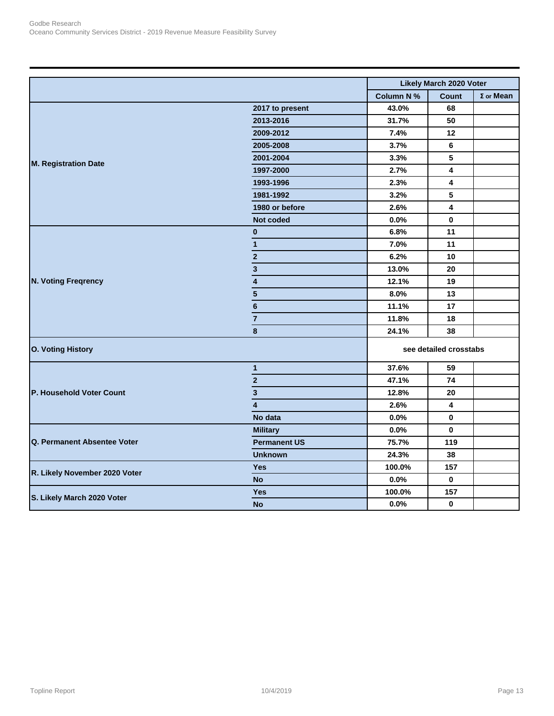|                               |                         |                  | <b>Likely March 2020 Voter</b> |                  |
|-------------------------------|-------------------------|------------------|--------------------------------|------------------|
|                               |                         | <b>Column N%</b> | <b>Count</b>                   | $\Sigma$ or Mean |
| <b>M. Registration Date</b>   | 2017 to present         | 43.0%            | 68                             |                  |
|                               | 2013-2016               | 31.7%            | 50                             |                  |
|                               | 2009-2012               | 7.4%             | 12                             |                  |
|                               | 2005-2008               | 3.7%             | 6                              |                  |
|                               | 2001-2004               | 3.3%             | 5                              |                  |
|                               | 1997-2000               | 2.7%             | 4                              |                  |
|                               | 1993-1996               | 2.3%             | 4                              |                  |
|                               | 1981-1992               | 3.2%             | 5                              |                  |
|                               | 1980 or before          | 2.6%             | 4                              |                  |
|                               | Not coded               | 0.0%             | $\mathbf 0$                    |                  |
|                               | $\bf{0}$                | 6.8%             | 11                             |                  |
|                               | $\mathbf{1}$            | 7.0%             | 11                             |                  |
|                               | $\mathbf{2}$            | 6.2%             | $10$                           |                  |
|                               | 3                       | 13.0%            | 20                             |                  |
| <b>N. Voting Freqrency</b>    | 4                       | 12.1%            | 19                             |                  |
|                               | $5\phantom{.0}$         | 8.0%             | 13                             |                  |
|                               | 6                       | 11.1%            | 17                             |                  |
|                               | $\overline{7}$          | 11.8%            | 18                             |                  |
|                               | 8                       | 24.1%            | 38                             |                  |
| <b>O. Voting History</b>      | see detailed crosstabs  |                  |                                |                  |
|                               | 1                       | 37.6%            | 59                             |                  |
|                               | $\overline{\mathbf{c}}$ | 47.1%            | 74                             |                  |
| P. Household Voter Count      | $\mathbf{3}$            | 12.8%            | 20                             |                  |
|                               | $\overline{\mathbf{4}}$ | 2.6%             | 4                              |                  |
|                               | No data                 | 0.0%             | 0                              |                  |
|                               | <b>Military</b>         | 0.0%             | $\mathbf{0}$                   |                  |
| Q. Permanent Absentee Voter   | <b>Permanent US</b>     | 75.7%            | 119                            |                  |
|                               | <b>Unknown</b>          | 24.3%            | 38                             |                  |
| R. Likely November 2020 Voter | <b>Yes</b>              | 100.0%           | 157                            |                  |
|                               | <b>No</b>               | 0.0%             | 0                              |                  |
|                               | <b>Yes</b>              | 100.0%           | 157                            |                  |
| S. Likely March 2020 Voter    | <b>No</b>               | 0.0%             | $\mathbf 0$                    |                  |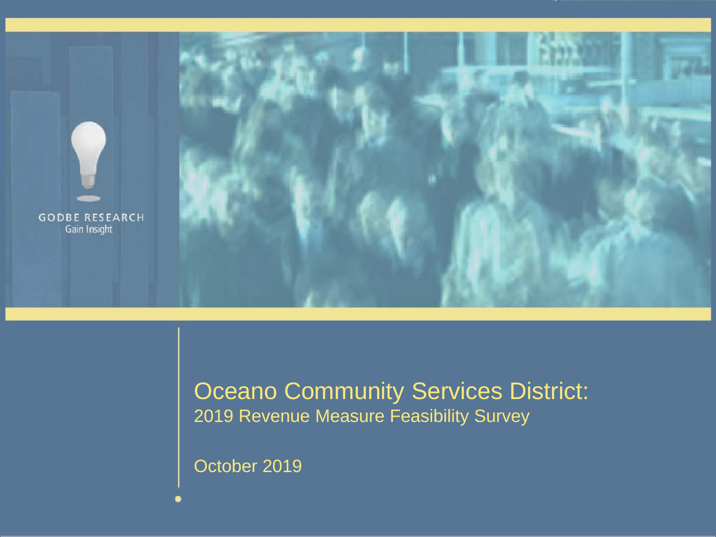

### Oceano Community Services District: 2019 Revenue Measure Feasibility Survey

October 2019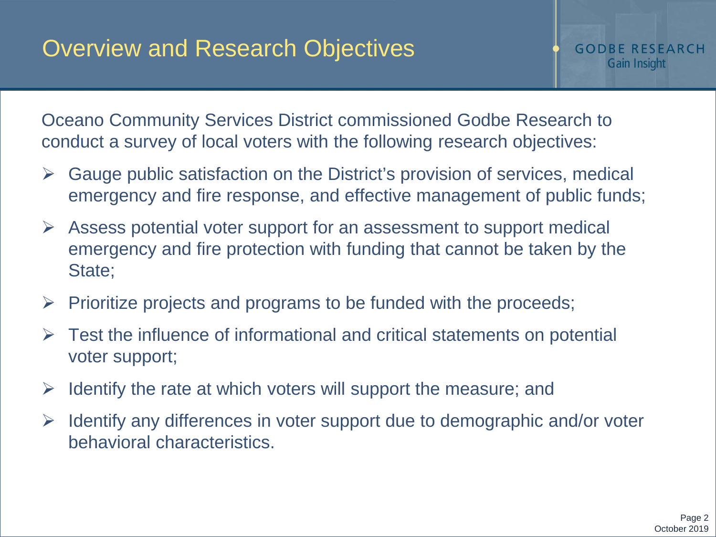Oceano Community Services District commissioned Godbe Research to conduct a survey of local voters with the following research objectives:

- $\triangleright$  Gauge public satisfaction on the District's provision of services, medical emergency and fire response, and effective management of public funds;
- $\triangleright$  Assess potential voter support for an assessment to support medical emergency and fire protection with funding that cannot be taken by the State;
- $\triangleright$  Prioritize projects and programs to be funded with the proceeds;
- $\triangleright$  Test the influence of informational and critical statements on potential voter support;
- $\triangleright$  Identify the rate at which voters will support the measure; and
- $\triangleright$  Identify any differences in voter support due to demographic and/or voter behavioral characteristics.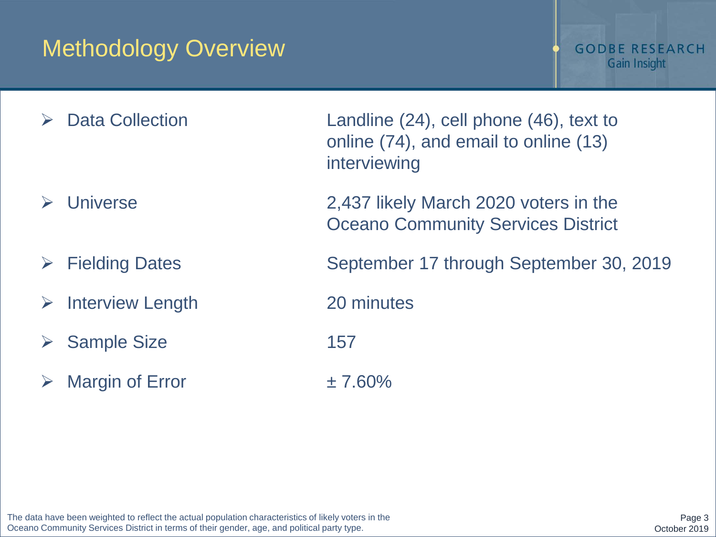## Methodology Overview

#### **GODBE RESEARCH** Gain Insight

- 
- 
- > Interview Length 20 minutes
- ▶ Sample Size 157
- $\triangleright$  Margin of Error  $\pm 7.60\%$

 Data Collection Landline (24), cell phone (46), text to online (74), and email to online (13) interviewing

 Universe 2,437 likely March 2020 voters in the Oceano Community Services District

Fielding Dates September 17 through September 30, 2019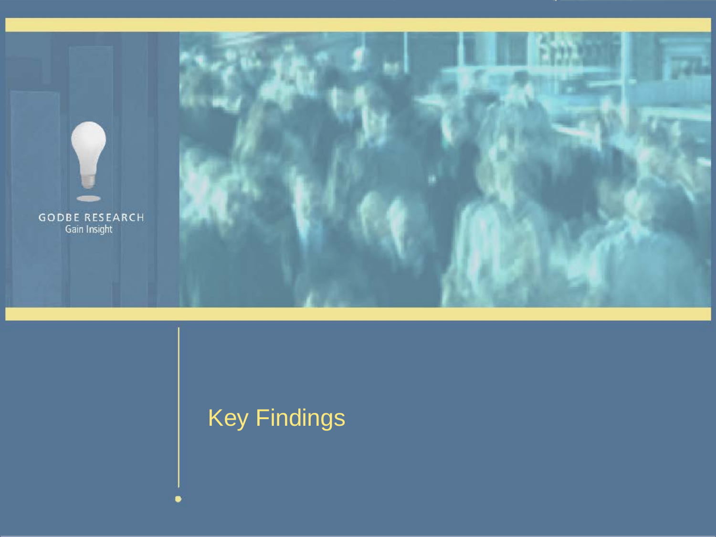

# Key Findings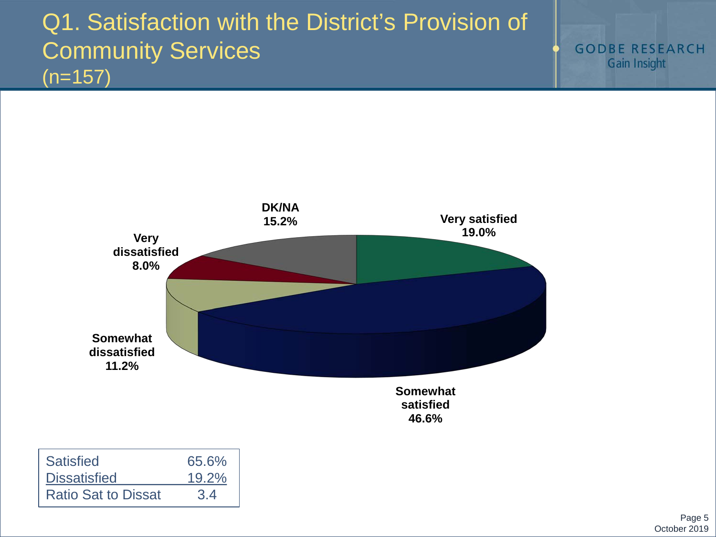## Q1. Satisfaction with the District's Provision of Community Services  $(n=157)$

**GODBE RESEARCH** Gain Insight



| <b>Satisfied</b>           | 65.6% |
|----------------------------|-------|
| <b>Dissatisfied</b>        | 19.2% |
| <b>Ratio Sat to Dissat</b> | 3.4   |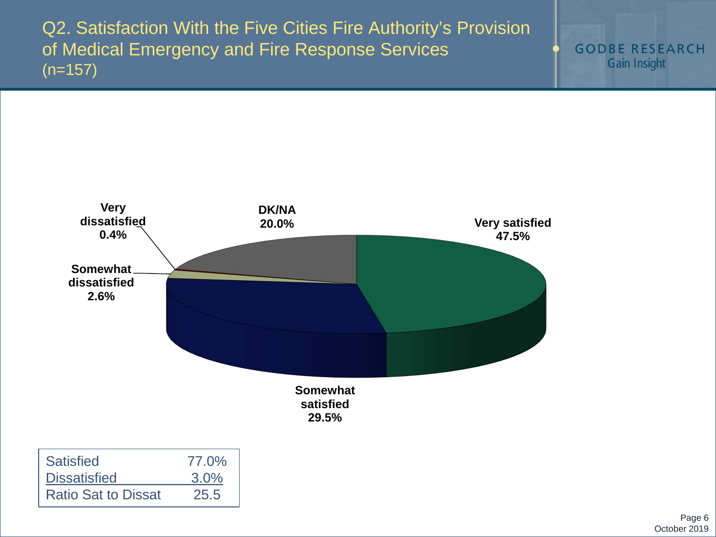Q2. Satisfaction With the Five Cities Fire Authority's Provision of Medical Emergency and Fire Response Services  $(n=157)$ 





| <b>Satisfied</b>           | 77.0% |
|----------------------------|-------|
| <b>Dissatisfied</b>        | 3.0%  |
| <b>Ratio Sat to Dissat</b> | 25.5  |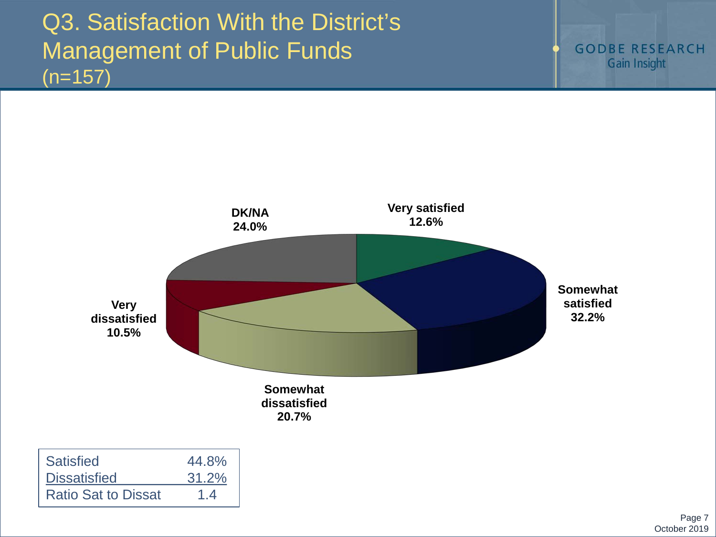## Q3. Satisfaction With the District's Management of Public Funds  $(n=157)$



| <b>Satisfied</b>           | 44.8% |
|----------------------------|-------|
| <b>Dissatisfied</b>        | 31.2% |
| <b>Ratio Sat to Dissat</b> | 1.4   |

Page 7 October 2019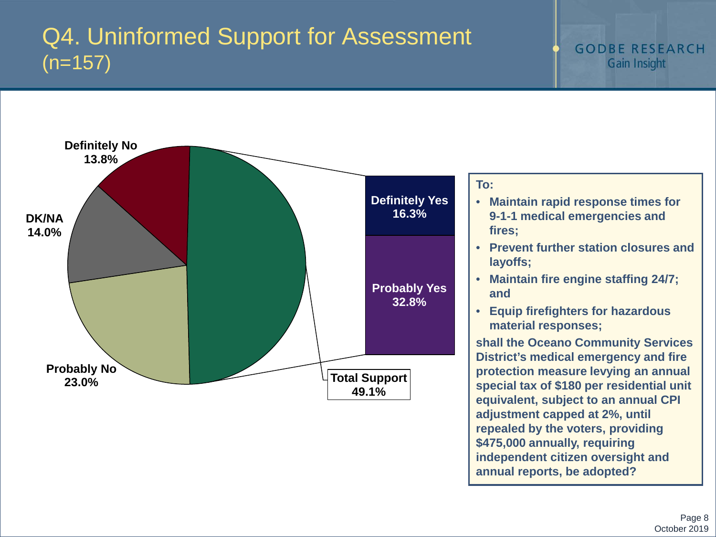### Q4. Uninformed Support for Assessment  $(n=157)$



**\$475,000 annually, requiring** 

**annual reports, be adopted?** 

**independent citizen oversight and**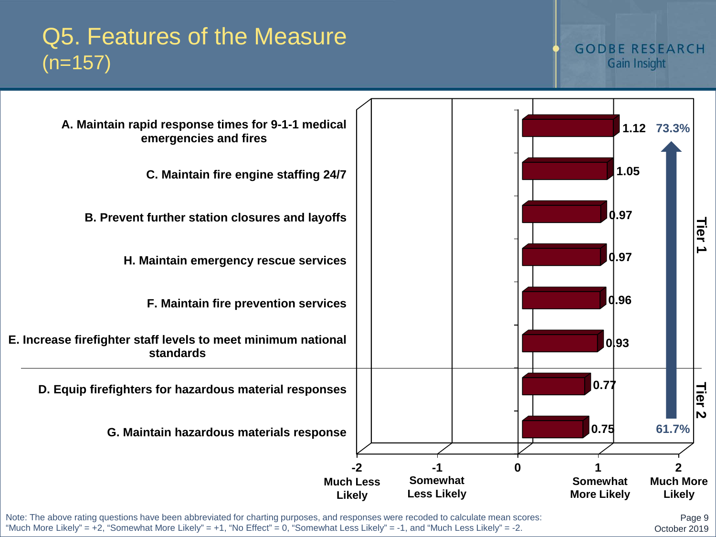### Q5. Features of the Measure  $(n=157)$

#### **GODBE RESEARCH** Gain Insight



Note: The above rating questions have been abbreviated for charting purposes, and responses were recoded to calculate mean scores: "Much More Likely" = +2, "Somewhat More Likely" = +1, "No Effect" = 0, "Somewhat Less Likely" = -1, and "Much Less Likely" = -2.

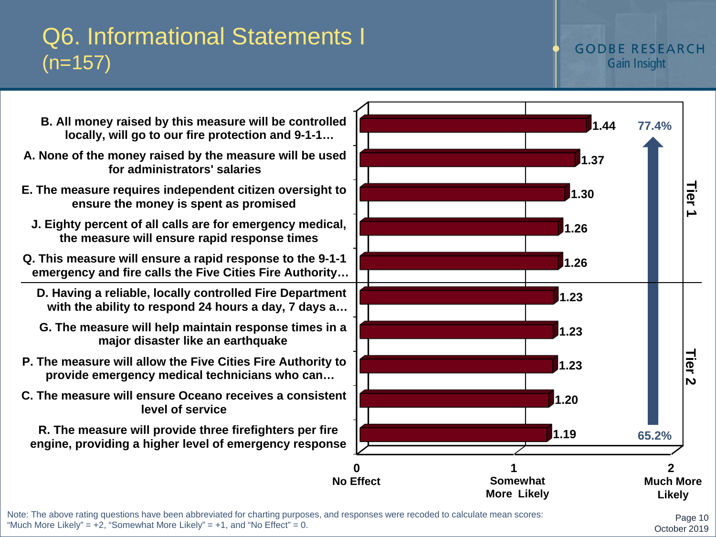### Q6. Informational Statements I  $(n=157)$

#### **GODBE RESEARCH** Gain Insight

- **B. All money raised by this measure will be controlled locally, will go to our fire protection and 9-1-1…**
- **A. None of the money raised by the measure will be used for administrators' salaries**
- **E. The measure requires independent citizen oversight to ensure the money is spent as promised**
	- **J. Eighty percent of all calls are for emergency medical, the measure will ensure rapid response times**
- **Q. This measure will ensure a rapid response to the 9-1-1 emergency and fire calls the Five Cities Fire Authority…**
	- **D. Having a reliable, locally controlled Fire Department with the ability to respond 24 hours a day, 7 days a…**
	- **G. The measure will help maintain response times in a major disaster like an earthquake**
- **P. The measure will allow the Five Cities Fire Authority to provide emergency medical technicians who can…**
- **C. The measure will ensure Oceano receives a consistent level of service**

**R. The measure will provide three firefighters per fire engine, providing a higher level of emergency response**



Note: The above rating questions have been abbreviated for charting purposes, and responses were recoded to calculate mean scores: "Much More Likely" =  $+2$ , "Somewhat More Likely" =  $+1$ , and "No Effect" = 0.

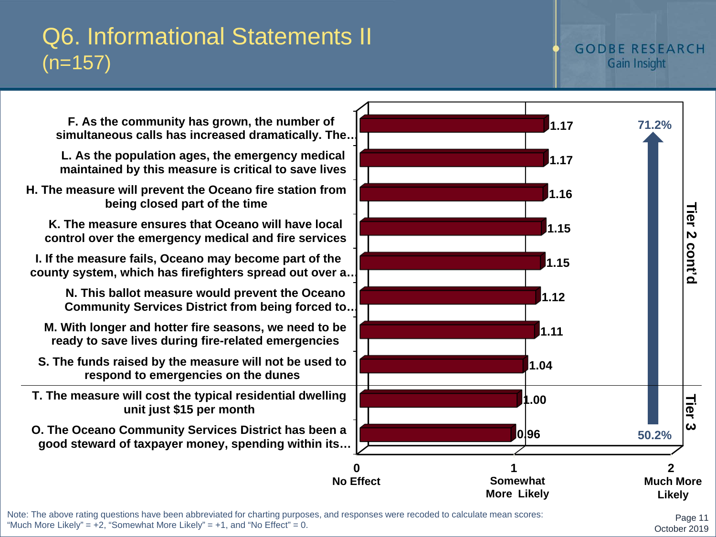### **L. As the population ages, the emergency medical maintained by this measure is critical to save lives F. As the community has grown, the number of simultaneous calls has increased dramatically. The…**

**H. The measure will prevent the Oceano fire station from being closed part of the time**

**K. The measure ensures that Oceano will have local control over the emergency medical and fire services**

Q6. Informational Statements II

 $(n=157)$ 

**I. If the measure fails, Oceano may become part of the county system, which has firefighters spread out over a…**

> **N. This ballot measure would prevent the Oceano Community Services District from being forced to…**

**M. With longer and hotter fire seasons, we need to be ready to save lives during fire-related emergencies**

- **S. The funds raised by the measure will not be used to respond to emergencies on the dunes**
- **T. The measure will cost the typical residential dwelling unit just \$15 per month**
- **O. The Oceano Community Services District has been a good steward of taxpayer money, spending within its…**



Page 11

October 2019

### **GODBE RESEARCH** Gain Insight

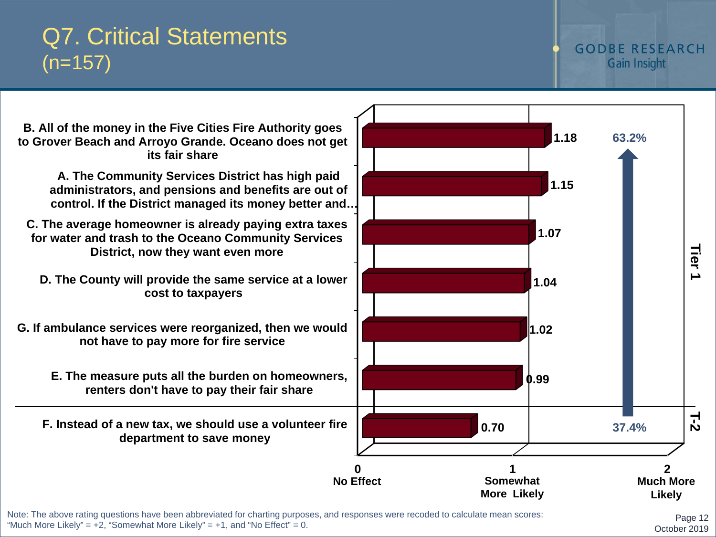### Q7. Critical Statements  $(n=157)$

#### **GODBE RESEARCH** Gain Insight



Note: The above rating questions have been abbreviated for charting purposes, and responses were recoded to calculate mean scores: "Much More Likely" =  $+2$ , "Somewhat More Likely" =  $+1$ , and "No Effect" = 0.

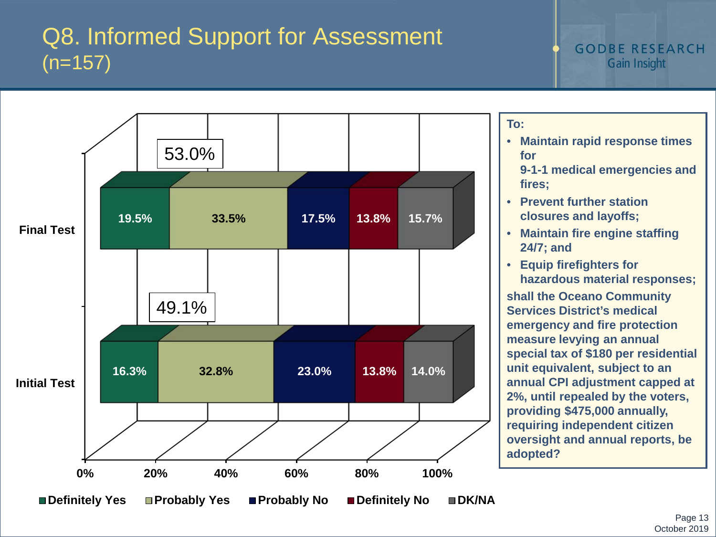## Q8. Informed Support for Assessment  $(n=157)$



**To:**

- **Maintain rapid response times for** 
	- **9-1-1 medical emergencies and fires;**
- **Prevent further station closures and layoffs;**
- **Maintain fire engine staffing 24/7; and**
- **Equip firefighters for hazardous material responses;**

**shall the Oceano Community Services District's medical emergency and fire protection measure levying an annual special tax of \$180 per residential unit equivalent, subject to an annual CPI adjustment capped at 2%, until repealed by the voters, providing \$475,000 annually, requiring independent citizen oversight and annual reports, be adopted?**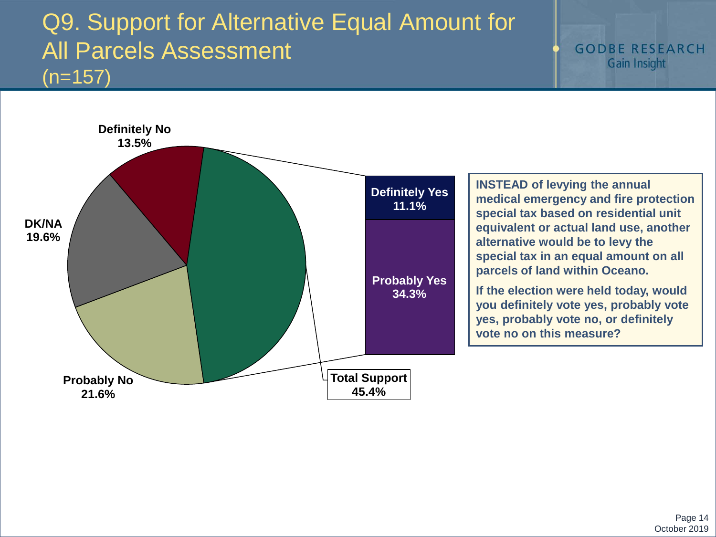### Q9. Support for Alternative Equal Amount for All Parcels Assessment  $(n=157)$

**GODBE RESEARCH** Gain Insight